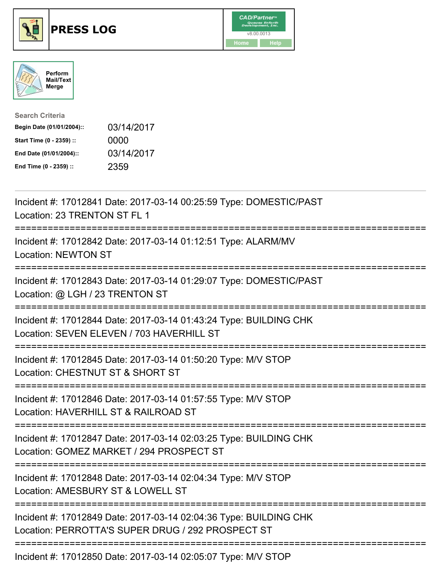





| <b>Search Criteria</b>    |            |
|---------------------------|------------|
| Begin Date (01/01/2004):: | 03/14/2017 |
| Start Time (0 - 2359) ::  | 0000       |
| End Date (01/01/2004)::   | 03/14/2017 |
| End Time (0 - 2359) ::    | 2359       |

| Incident #: 17012841 Date: 2017-03-14 00:25:59 Type: DOMESTIC/PAST<br>Location: 23 TRENTON ST FL 1                               |
|----------------------------------------------------------------------------------------------------------------------------------|
| Incident #: 17012842 Date: 2017-03-14 01:12:51 Type: ALARM/MV<br><b>Location: NEWTON ST</b>                                      |
| Incident #: 17012843 Date: 2017-03-14 01:29:07 Type: DOMESTIC/PAST<br>Location: @ LGH / 23 TRENTON ST                            |
| Incident #: 17012844 Date: 2017-03-14 01:43:24 Type: BUILDING CHK<br>Location: SEVEN ELEVEN / 703 HAVERHILL ST                   |
| Incident #: 17012845 Date: 2017-03-14 01:50:20 Type: M/V STOP<br>Location: CHESTNUT ST & SHORT ST                                |
| Incident #: 17012846 Date: 2017-03-14 01:57:55 Type: M/V STOP<br>Location: HAVERHILL ST & RAILROAD ST<br>.---------------------- |
| Incident #: 17012847 Date: 2017-03-14 02:03:25 Type: BUILDING CHK<br>Location: GOMEZ MARKET / 294 PROSPECT ST                    |
| Incident #: 17012848 Date: 2017-03-14 02:04:34 Type: M/V STOP<br>Location: AMESBURY ST & LOWELL ST                               |
| Incident #: 17012849 Date: 2017-03-14 02:04:36 Type: BUILDING CHK<br>Location: PERROTTA'S SUPER DRUG / 292 PROSPECT ST           |
|                                                                                                                                  |

Incident #: 17012850 Date: 2017-03-14 02:05:07 Type: M/V STOP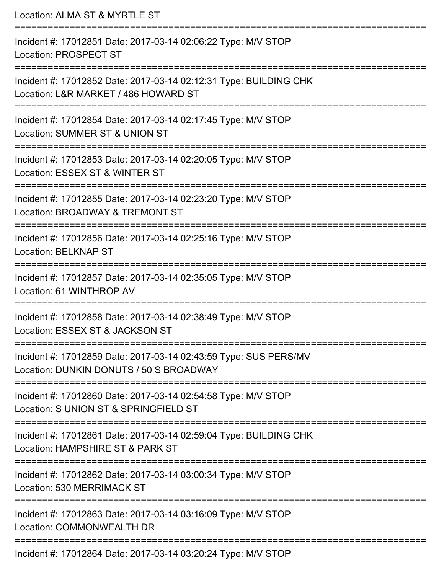Location: ALMA ST & MYRTLE ST =========================================================================== Incident #: 17012851 Date: 2017-03-14 02:06:22 Type: M/V STOP Location: PROSPECT ST =========================================================================== Incident #: 17012852 Date: 2017-03-14 02:12:31 Type: BUILDING CHK Location: L&R MARKET / 486 HOWARD ST =========================================================================== Incident #: 17012854 Date: 2017-03-14 02:17:45 Type: M/V STOP Location: SUMMER ST & UNION ST =========================================================================== Incident #: 17012853 Date: 2017-03-14 02:20:05 Type: M/V STOP Location: ESSEX ST & WINTER ST =========================================================================== Incident #: 17012855 Date: 2017-03-14 02:23:20 Type: M/V STOP Location: BROADWAY & TREMONT ST =========================================================================== Incident #: 17012856 Date: 2017-03-14 02:25:16 Type: M/V STOP Location: BELKNAP ST =========================================================================== Incident #: 17012857 Date: 2017-03-14 02:35:05 Type: M/V STOP Location: 61 WINTHROP AV =========================================================================== Incident #: 17012858 Date: 2017-03-14 02:38:49 Type: M/V STOP Location: ESSEX ST & JACKSON ST =========================================================================== Incident #: 17012859 Date: 2017-03-14 02:43:59 Type: SUS PERS/MV Location: DUNKIN DONUTS / 50 S BROADWAY =========================================================================== Incident #: 17012860 Date: 2017-03-14 02:54:58 Type: M/V STOP Location: S UNION ST & SPRINGFIELD ST =========================================================================== Incident #: 17012861 Date: 2017-03-14 02:59:04 Type: BUILDING CHK Location: HAMPSHIRE ST & PARK ST =========================================================================== Incident #: 17012862 Date: 2017-03-14 03:00:34 Type: M/V STOP Location: 530 MERRIMACK ST =========================================================================== Incident #: 17012863 Date: 2017-03-14 03:16:09 Type: M/V STOP Location: COMMONWEALTH DR ===========================================================================

Incident #: 17012864 Date: 2017-03-14 03:20:24 Type: M/V STOP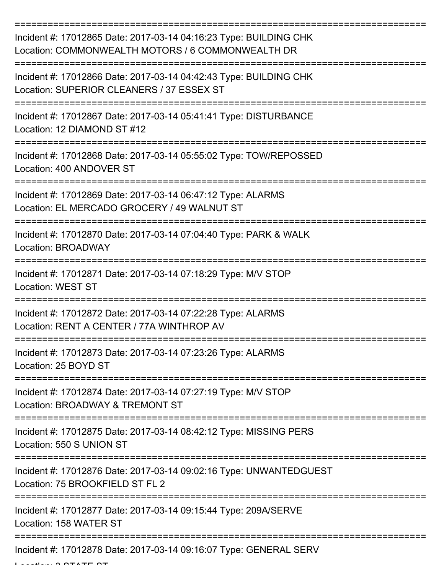| Incident #: 17012865 Date: 2017-03-14 04:16:23 Type: BUILDING CHK<br>Location: COMMONWEALTH MOTORS / 6 COMMONWEALTH DR |
|------------------------------------------------------------------------------------------------------------------------|
| Incident #: 17012866 Date: 2017-03-14 04:42:43 Type: BUILDING CHK<br>Location: SUPERIOR CLEANERS / 37 ESSEX ST         |
| Incident #: 17012867 Date: 2017-03-14 05:41:41 Type: DISTURBANCE<br>Location: 12 DIAMOND ST #12                        |
| Incident #: 17012868 Date: 2017-03-14 05:55:02 Type: TOW/REPOSSED<br>Location: 400 ANDOVER ST                          |
| Incident #: 17012869 Date: 2017-03-14 06:47:12 Type: ALARMS<br>Location: EL MERCADO GROCERY / 49 WALNUT ST             |
| Incident #: 17012870 Date: 2017-03-14 07:04:40 Type: PARK & WALK<br>Location: BROADWAY                                 |
| Incident #: 17012871 Date: 2017-03-14 07:18:29 Type: M/V STOP<br><b>Location: WEST ST</b>                              |
| Incident #: 17012872 Date: 2017-03-14 07:22:28 Type: ALARMS<br>Location: RENT A CENTER / 77A WINTHROP AV               |
| Incident #: 17012873 Date: 2017-03-14 07:23:26 Type: ALARMS<br>Location: 25 BOYD ST<br>===============                 |
| Incident #: 17012874 Date: 2017-03-14 07:27:19 Type: M/V STOP<br>Location: BROADWAY & TREMONT ST                       |
| Incident #: 17012875 Date: 2017-03-14 08:42:12 Type: MISSING PERS<br>Location: 550 S UNION ST                          |
| Incident #: 17012876 Date: 2017-03-14 09:02:16 Type: UNWANTEDGUEST<br>Location: 75 BROOKFIELD ST FL 2                  |
| Incident #: 17012877 Date: 2017-03-14 09:15:44 Type: 209A/SERVE<br>Location: 158 WATER ST                              |
| Incident #: 17012878 Date: 2017-03-14 09:16:07 Type: GENERAL SERV<br>דת הדודת מי------                                 |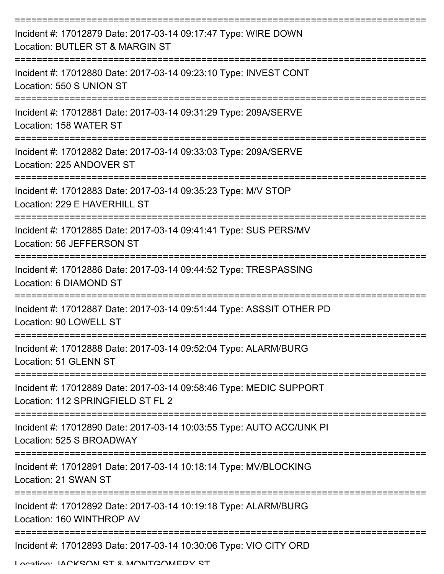| Incident #: 17012879 Date: 2017-03-14 09:17:47 Type: WIRE DOWN<br>Location: BUTLER ST & MARGIN ST                    |
|----------------------------------------------------------------------------------------------------------------------|
| Incident #: 17012880 Date: 2017-03-14 09:23:10 Type: INVEST CONT<br>Location: 550 S UNION ST                         |
| Incident #: 17012881 Date: 2017-03-14 09:31:29 Type: 209A/SERVE<br>Location: 158 WATER ST                            |
| Incident #: 17012882 Date: 2017-03-14 09:33:03 Type: 209A/SERVE<br>Location: 225 ANDOVER ST                          |
| Incident #: 17012883 Date: 2017-03-14 09:35:23 Type: M/V STOP<br>Location: 229 E HAVERHILL ST                        |
| Incident #: 17012885 Date: 2017-03-14 09:41:41 Type: SUS PERS/MV<br>Location: 56 JEFFERSON ST                        |
| Incident #: 17012886 Date: 2017-03-14 09:44:52 Type: TRESPASSING<br>Location: 6 DIAMOND ST                           |
| Incident #: 17012887 Date: 2017-03-14 09:51:44 Type: ASSSIT OTHER PD<br>Location: 90 LOWELL ST                       |
| Incident #: 17012888 Date: 2017-03-14 09:52:04 Type: ALARM/BURG<br>Location: 51 GLENN ST                             |
| ---------<br>Incident #: 17012889 Date: 2017-03-14 09:58:46 Type: MEDIC SUPPORT<br>Location: 112 SPRINGFIELD ST FL 2 |
| Incident #: 17012890 Date: 2017-03-14 10:03:55 Type: AUTO ACC/UNK PI<br>Location: 525 S BROADWAY                     |
| Incident #: 17012891 Date: 2017-03-14 10:18:14 Type: MV/BLOCKING<br>Location: 21 SWAN ST                             |
| Incident #: 17012892 Date: 2017-03-14 10:19:18 Type: ALARM/BURG<br>Location: 160 WINTHROP AV                         |
| Incident #: 17012893 Date: 2017-03-14 10:30:06 Type: VIO CITY ORD                                                    |

Location: IACKSON ST & MONITGOMERY ST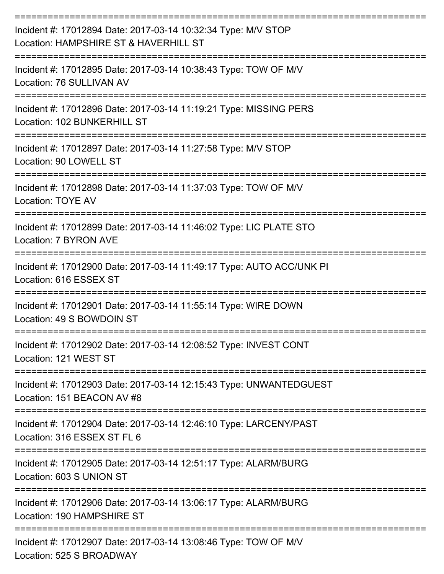| Incident #: 17012894 Date: 2017-03-14 10:32:34 Type: M/V STOP<br>Location: HAMPSHIRE ST & HAVERHILL ST                             |
|------------------------------------------------------------------------------------------------------------------------------------|
| Incident #: 17012895 Date: 2017-03-14 10:38:43 Type: TOW OF M/V<br>Location: 76 SULLIVAN AV                                        |
| Incident #: 17012896 Date: 2017-03-14 11:19:21 Type: MISSING PERS<br>Location: 102 BUNKERHILL ST                                   |
| Incident #: 17012897 Date: 2017-03-14 11:27:58 Type: M/V STOP<br>Location: 90 LOWELL ST                                            |
| Incident #: 17012898 Date: 2017-03-14 11:37:03 Type: TOW OF M/V<br>Location: TOYE AV                                               |
| Incident #: 17012899 Date: 2017-03-14 11:46:02 Type: LIC PLATE STO<br>Location: 7 BYRON AVE                                        |
| Incident #: 17012900 Date: 2017-03-14 11:49:17 Type: AUTO ACC/UNK PI<br>Location: 616 ESSEX ST                                     |
| Incident #: 17012901 Date: 2017-03-14 11:55:14 Type: WIRE DOWN<br>Location: 49 S BOWDOIN ST                                        |
| Incident #: 17012902 Date: 2017-03-14 12:08:52 Type: INVEST CONT<br>Location: 121 WEST ST                                          |
| ==============================<br>Incident #: 17012903 Date: 2017-03-14 12:15:43 Type: UNWANTEDGUEST<br>Location: 151 BEACON AV #8 |
| Incident #: 17012904 Date: 2017-03-14 12:46:10 Type: LARCENY/PAST<br>Location: 316 ESSEX ST FL 6                                   |
| Incident #: 17012905 Date: 2017-03-14 12:51:17 Type: ALARM/BURG<br>Location: 603 S UNION ST                                        |
| Incident #: 17012906 Date: 2017-03-14 13:06:17 Type: ALARM/BURG<br>Location: 190 HAMPSHIRE ST                                      |
| Incident #: 17012907 Date: 2017-03-14 13:08:46 Type: TOW OF M/V<br>Location: 525 S BROADWAY                                        |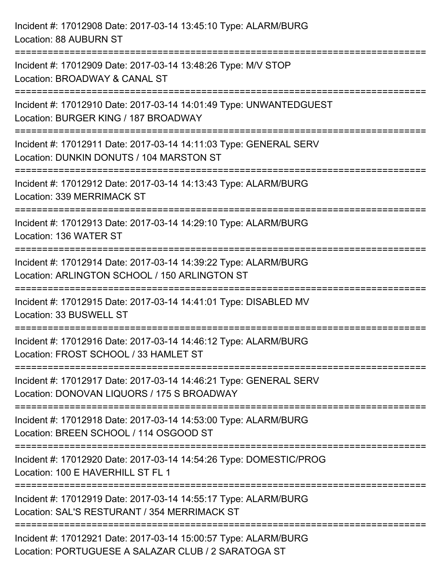Incident #: 17012908 Date: 2017-03-14 13:45:10 Type: ALARM/BURG Location: 88 AUBURN ST =========================================================================== Incident #: 17012909 Date: 2017-03-14 13:48:26 Type: M/V STOP Location: BROADWAY & CANAL ST =========================================================================== Incident #: 17012910 Date: 2017-03-14 14:01:49 Type: UNWANTEDGUEST Location: BURGER KING / 187 BROADWAY =========================================================================== Incident #: 17012911 Date: 2017-03-14 14:11:03 Type: GENERAL SERV Location: DUNKIN DONUTS / 104 MARSTON ST =========================================================================== Incident #: 17012912 Date: 2017-03-14 14:13:43 Type: ALARM/BURG Location: 339 MERRIMACK ST =========================================================================== Incident #: 17012913 Date: 2017-03-14 14:29:10 Type: ALARM/BURG Location: 136 WATER ST =========================================================================== Incident #: 17012914 Date: 2017-03-14 14:39:22 Type: ALARM/BURG Location: ARLINGTON SCHOOL / 150 ARLINGTON ST =========================================================================== Incident #: 17012915 Date: 2017-03-14 14:41:01 Type: DISABLED MV Location: 33 BUSWELL ST =========================================================================== Incident #: 17012916 Date: 2017-03-14 14:46:12 Type: ALARM/BURG Location: FROST SCHOOL / 33 HAMLET ST =========================================================================== Incident #: 17012917 Date: 2017-03-14 14:46:21 Type: GENERAL SERV Location: DONOVAN LIQUORS / 175 S BROADWAY =========================================================================== Incident #: 17012918 Date: 2017-03-14 14:53:00 Type: ALARM/BURG Location: BREEN SCHOOL / 114 OSGOOD ST =========================================================================== Incident #: 17012920 Date: 2017-03-14 14:54:26 Type: DOMESTIC/PROG Location: 100 E HAVERHILL ST FL 1 =========================================================================== Incident #: 17012919 Date: 2017-03-14 14:55:17 Type: ALARM/BURG Location: SAL'S RESTURANT / 354 MERRIMACK ST =========================================================================== Incident #: 17012921 Date: 2017-03-14 15:00:57 Type: ALARM/BURG Location: PORTUGUESE A SALAZAR CLUB / 2 SARATOGA ST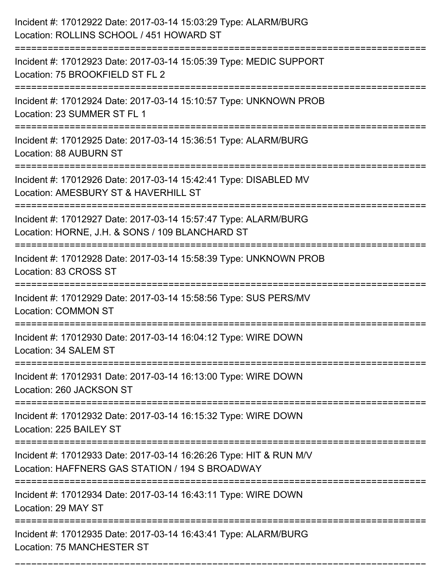| Incident #: 17012922 Date: 2017-03-14 15:03:29 Type: ALARM/BURG<br>Location: ROLLINS SCHOOL / 451 HOWARD ST                                                       |
|-------------------------------------------------------------------------------------------------------------------------------------------------------------------|
| Incident #: 17012923 Date: 2017-03-14 15:05:39 Type: MEDIC SUPPORT<br>Location: 75 BROOKFIELD ST FL 2                                                             |
| Incident #: 17012924 Date: 2017-03-14 15:10:57 Type: UNKNOWN PROB<br>Location: 23 SUMMER ST FL 1<br>====================================<br>===================== |
| Incident #: 17012925 Date: 2017-03-14 15:36:51 Type: ALARM/BURG<br>Location: 88 AUBURN ST                                                                         |
| Incident #: 17012926 Date: 2017-03-14 15:42:41 Type: DISABLED MV<br>Location: AMESBURY ST & HAVERHILL ST                                                          |
| Incident #: 17012927 Date: 2017-03-14 15:57:47 Type: ALARM/BURG<br>Location: HORNE, J.H. & SONS / 109 BLANCHARD ST<br>:===================================        |
| Incident #: 17012928 Date: 2017-03-14 15:58:39 Type: UNKNOWN PROB<br>Location: 83 CROSS ST                                                                        |
| Incident #: 17012929 Date: 2017-03-14 15:58:56 Type: SUS PERS/MV<br><b>Location: COMMON ST</b>                                                                    |
| Incident #: 17012930 Date: 2017-03-14 16:04:12 Type: WIRE DOWN<br>Location: 34 SALEM ST                                                                           |
| Incident #: 17012931 Date: 2017-03-14 16:13:00 Type: WIRE DOWN<br>Location: 260 JACKSON ST                                                                        |
| Incident #: 17012932 Date: 2017-03-14 16:15:32 Type: WIRE DOWN<br>Location: 225 BAILEY ST                                                                         |
| Incident #: 17012933 Date: 2017-03-14 16:26:26 Type: HIT & RUN M/V<br>Location: HAFFNERS GAS STATION / 194 S BROADWAY                                             |
| Incident #: 17012934 Date: 2017-03-14 16:43:11 Type: WIRE DOWN<br>Location: 29 MAY ST                                                                             |
| Incident #: 17012935 Date: 2017-03-14 16:43:41 Type: ALARM/BURG<br>Location: 75 MANCHESTER ST                                                                     |

===========================================================================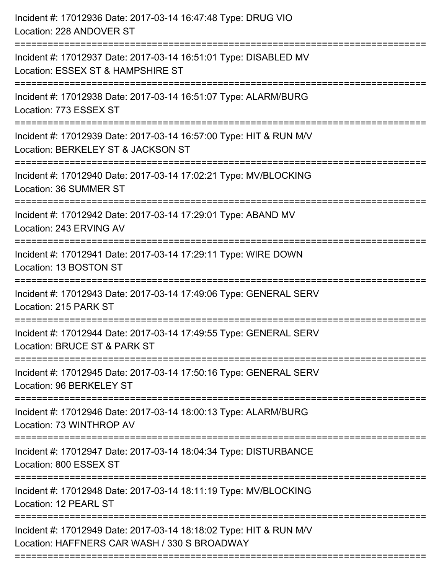| Incident #: 17012936 Date: 2017-03-14 16:47:48 Type: DRUG VIO<br>Location: 228 ANDOVER ST                                    |
|------------------------------------------------------------------------------------------------------------------------------|
| Incident #: 17012937 Date: 2017-03-14 16:51:01 Type: DISABLED MV<br>Location: ESSEX ST & HAMPSHIRE ST                        |
| Incident #: 17012938 Date: 2017-03-14 16:51:07 Type: ALARM/BURG<br>Location: 773 ESSEX ST                                    |
| Incident #: 17012939 Date: 2017-03-14 16:57:00 Type: HIT & RUN M/V<br>Location: BERKELEY ST & JACKSON ST                     |
| Incident #: 17012940 Date: 2017-03-14 17:02:21 Type: MV/BLOCKING<br>Location: 36 SUMMER ST<br>============================== |
| Incident #: 17012942 Date: 2017-03-14 17:29:01 Type: ABAND MV<br>Location: 243 ERVING AV                                     |
| Incident #: 17012941 Date: 2017-03-14 17:29:11 Type: WIRE DOWN<br>Location: 13 BOSTON ST                                     |
| Incident #: 17012943 Date: 2017-03-14 17:49:06 Type: GENERAL SERV<br>Location: 215 PARK ST                                   |
| Incident #: 17012944 Date: 2017-03-14 17:49:55 Type: GENERAL SERV<br>Location: BRUCE ST & PARK ST                            |
| Incident #: 17012945 Date: 2017-03-14 17:50:16 Type: GENERAL SERV<br>Location: 96 BERKELEY ST                                |
| Incident #: 17012946 Date: 2017-03-14 18:00:13 Type: ALARM/BURG<br>Location: 73 WINTHROP AV                                  |
| Incident #: 17012947 Date: 2017-03-14 18:04:34 Type: DISTURBANCE<br>Location: 800 ESSEX ST                                   |
| Incident #: 17012948 Date: 2017-03-14 18:11:19 Type: MV/BLOCKING<br>Location: 12 PEARL ST                                    |
| Incident #: 17012949 Date: 2017-03-14 18:18:02 Type: HIT & RUN M/V<br>Location: HAFFNERS CAR WASH / 330 S BROADWAY           |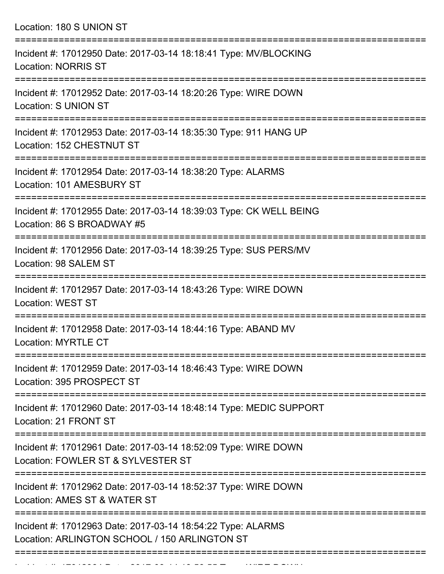Location: 180 S UNION ST =========================================================================== Incident #: 17012950 Date: 2017-03-14 18:18:41 Type: MV/BLOCKING Location: NORRIS ST =========================================================================== Incident #: 17012952 Date: 2017-03-14 18:20:26 Type: WIRE DOWN Location: S UNION ST =========================================================================== Incident #: 17012953 Date: 2017-03-14 18:35:30 Type: 911 HANG UP Location: 152 CHESTNUT ST =========================================================================== Incident #: 17012954 Date: 2017-03-14 18:38:20 Type: ALARMS Location: 101 AMESBURY ST =========================================================================== Incident #: 17012955 Date: 2017-03-14 18:39:03 Type: CK WELL BEING Location: 86 S BROADWAY #5 =========================================================================== Incident #: 17012956 Date: 2017-03-14 18:39:25 Type: SUS PERS/MV Location: 98 SALEM ST =========================================================================== Incident #: 17012957 Date: 2017-03-14 18:43:26 Type: WIRE DOWN Location: WEST ST =========================================================================== Incident #: 17012958 Date: 2017-03-14 18:44:16 Type: ABAND MV Location: MYRTLE CT =========================================================================== Incident #: 17012959 Date: 2017-03-14 18:46:43 Type: WIRE DOWN Location: 395 PROSPECT ST =========================================================================== Incident #: 17012960 Date: 2017-03-14 18:48:14 Type: MEDIC SUPPORT Location: 21 FRONT ST =========================================================================== Incident #: 17012961 Date: 2017-03-14 18:52:09 Type: WIRE DOWN Location: FOWLER ST & SYLVESTER ST =========================================================================== Incident #: 17012962 Date: 2017-03-14 18:52:37 Type: WIRE DOWN Location: AMES ST & WATER ST =========================================================================== Incident #: 17012963 Date: 2017-03-14 18:54:22 Type: ALARMS Location: ARLINGTON SCHOOL / 150 ARLINGTON ST ===========================================================================

Incident #: 17012964 Date: 2017 03 14 16:56:55 Type: WIRE DOWN:<br>.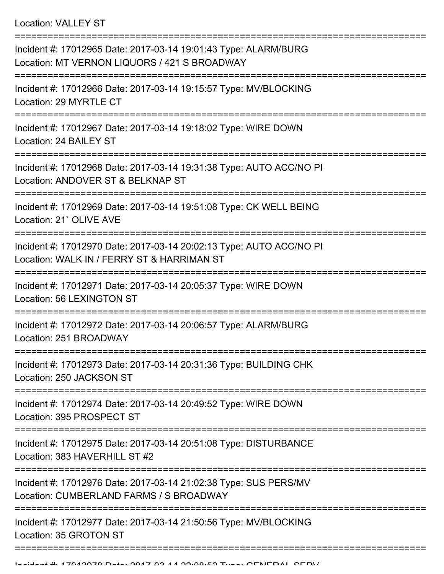Location: VALLEY ST

=========================================================================== Incident #: 17012965 Date: 2017-03-14 19:01:43 Type: ALARM/BURG Location: MT VERNON LIQUORS / 421 S BROADWAY =========================================================================== Incident #: 17012966 Date: 2017-03-14 19:15:57 Type: MV/BLOCKING Location: 29 MYRTLE CT =========================================================================== Incident #: 17012967 Date: 2017-03-14 19:18:02 Type: WIRE DOWN Location: 24 BAILEY ST =========================================================================== Incident #: 17012968 Date: 2017-03-14 19:31:38 Type: AUTO ACC/NO PI Location: ANDOVER ST & BELKNAP ST =========================================================================== Incident #: 17012969 Date: 2017-03-14 19:51:08 Type: CK WELL BEING Location: 21` OLIVE AVE =========================================================================== Incident #: 17012970 Date: 2017-03-14 20:02:13 Type: AUTO ACC/NO PI Location: WALK IN / FERRY ST & HARRIMAN ST =========================================================================== Incident #: 17012971 Date: 2017-03-14 20:05:37 Type: WIRE DOWN Location: 56 LEXINGTON ST =========================================================================== Incident #: 17012972 Date: 2017-03-14 20:06:57 Type: ALARM/BURG Location: 251 BROADWAY =========================================================================== Incident #: 17012973 Date: 2017-03-14 20:31:36 Type: BUILDING CHK Location: 250 JACKSON ST =========================================================================== Incident #: 17012974 Date: 2017-03-14 20:49:52 Type: WIRE DOWN Location: 395 PROSPECT ST =========================================================================== Incident #: 17012975 Date: 2017-03-14 20:51:08 Type: DISTURBANCE Location: 383 HAVERHILL ST #2 =========================================================================== Incident #: 17012976 Date: 2017-03-14 21:02:38 Type: SUS PERS/MV Location: CUMBERLAND FARMS / S BROADWAY =========================================================================== Incident #: 17012977 Date: 2017-03-14 21:50:56 Type: MV/BLOCKING Location: 35 GROTON ST ===========================================================================